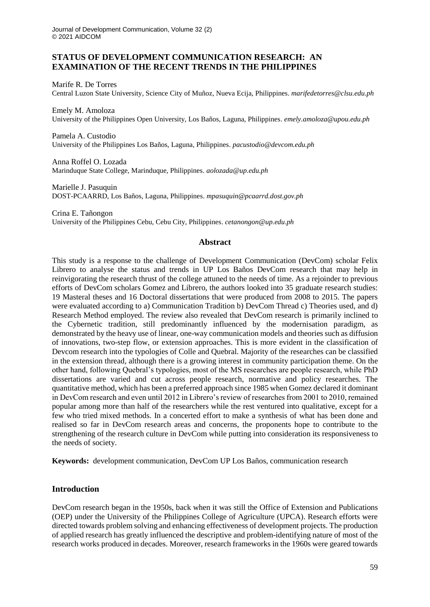## **STATUS OF DEVELOPMENT COMMUNICATION RESEARCH: AN EXAMINATION OF THE RECENT TRENDS IN THE PHILIPPINES**

Marife R. De Torres Central Luzon State University, Science City of Muñoz, Nueva Ecija, Philippines. *marifedetorres@clsu.edu.ph*

Emely M. Amoloza University of the Philippines Open University, Los Baños, Laguna, Philippines. *emely.amoloza@upou.edu.ph*

Pamela A. Custodio University of the Philippines Los Baños, Laguna, Philippines. *pacustodio@devcom.edu.ph*

Anna Roffel O. Lozada Marinduque State College, Marinduque, Philippines. *aolozada@up.edu.ph*

Marielle J. Pasuquin DOST-PCAARRD, Los Baños, Laguna, Philippines. *mpasuquin@pcaarrd.dost.gov.ph*

Crina E. Tañongon University of the Philippines Cebu, Cebu City, Philippines. *cetanongon@up.edu.ph*

## **Abstract**

This study is a response to the challenge of Development Communication (DevCom) scholar Felix Librero to analyse the status and trends in UP Los Baños DevCom research that may help in reinvigorating the research thrust of the college attuned to the needs of time. As a rejoinder to previous efforts of DevCom scholars Gomez and Librero, the authors looked into 35 graduate research studies: 19 Masteral theses and 16 Doctoral dissertations that were produced from 2008 to 2015. The papers were evaluated according to a) Communication Tradition b) DevCom Thread c) Theories used, and d) Research Method employed. The review also revealed that DevCom research is primarily inclined to the Cybernetic tradition, still predominantly influenced by the modernisation paradigm, as demonstrated by the heavy use of linear, one-way communication models and theories such as diffusion of innovations, two-step flow, or extension approaches. This is more evident in the classification of Devcom research into the typologies of Colle and Quebral. Majority of the researches can be classified in the extension thread, although there is a growing interest in community participation theme. On the other hand, following Quebral's typologies, most of the MS researches are people research, while PhD dissertations are varied and cut across people research, normative and policy researches. The quantitative method, which has been a preferred approach since 1985 when Gomez declared it dominant in DevCom research and even until 2012 in Librero's review of researches from 2001 to 2010, remained popular among more than half of the researchers while the rest ventured into qualitative, except for a few who tried mixed methods. In a concerted effort to make a synthesis of what has been done and realised so far in DevCom research areas and concerns, the proponents hope to contribute to the strengthening of the research culture in DevCom while putting into consideration its responsiveness to the needs of society.

**Keywords:** development communication, DevCom UP Los Baños, communication research

## **Introduction**

DevCom research began in the 1950s, back when it was still the Office of Extension and Publications (OEP) under the University of the Philippines College of Agriculture (UPCA). Research efforts were directed towards problem solving and enhancing effectiveness of development projects. The production of applied research has greatly influenced the descriptive and problem-identifying nature of most of the research works produced in decades. Moreover, research frameworks in the 1960s were geared towards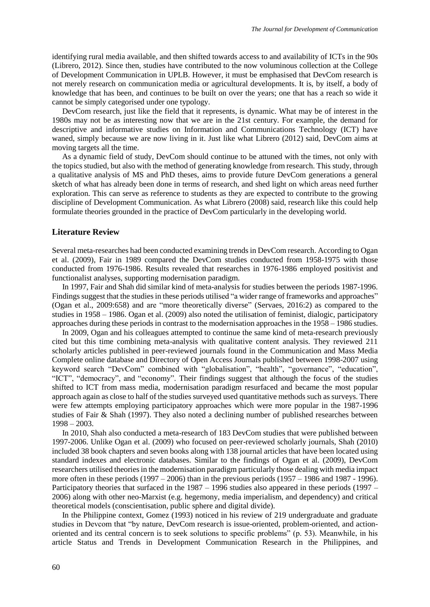identifying rural media available, and then shifted towards access to and availability of ICTs in the 90s (Librero, 2012). Since then, studies have contributed to the now voluminous collection at the College of Development Communication in UPLB. However, it must be emphasised that DevCom research is not merely research on communication media or agricultural developments. It is, by itself, a body of knowledge that has been, and continues to be built on over the years; one that has a reach so wide it cannot be simply categorised under one typology.

DevCom research, just like the field that it represents, is dynamic. What may be of interest in the 1980s may not be as interesting now that we are in the 21st century. For example, the demand for descriptive and informative studies on Information and Communications Technology (ICT) have waned, simply because we are now living in it. Just like what Librero (2012) said, DevCom aims at moving targets all the time.

As a dynamic field of study, DevCom should continue to be attuned with the times, not only with the topics studied, but also with the method of generating knowledge from research. This study, through a qualitative analysis of MS and PhD theses, aims to provide future DevCom generations a general sketch of what has already been done in terms of research, and shed light on which areas need further exploration. This can serve as reference to students as they are expected to contribute to the growing discipline of Development Communication. As what Librero (2008) said, research like this could help formulate theories grounded in the practice of DevCom particularly in the developing world.

#### **Literature Review**

Several meta-researches had been conducted examining trends in DevCom research. According to Ogan et al. (2009), Fair in 1989 compared the DevCom studies conducted from 1958-1975 with those conducted from 1976-1986. Results revealed that researches in 1976-1986 employed positivist and functionalist analyses, supporting modernisation paradigm.

In 1997, Fair and Shah did similar kind of meta-analysis for studies between the periods 1987-1996. Findings suggest that the studies in these periods utilised "a wider range of frameworks and approaches" (Ogan et al., 2009:658) and are "more theoretically diverse" (Servaes, 2016:2) as compared to the studies in 1958 – 1986. Ogan et al. (2009) also noted the utilisation of feminist, dialogic, participatory approaches during these periods in contrast to the modernisation approaches in the 1958 – 1986 studies.

In 2009, Ogan and his colleagues attempted to continue the same kind of meta-research previously cited but this time combining meta-analysis with qualitative content analysis. They reviewed 211 scholarly articles published in peer-reviewed journals found in the Communication and Mass Media Complete online database and Directory of Open Access Journals published between 1998-2007 using keyword search "DevCom" combined with "globalisation", "health", "governance", "education", "ICT", "democracy", and "economy". Their findings suggest that although the focus of the studies shifted to ICT from mass media, modernisation paradigm resurfaced and became the most popular approach again as close to half of the studies surveyed used quantitative methods such as surveys. There were few attempts employing participatory approaches which were more popular in the 1987-1996 studies of Fair & Shah (1997). They also noted a declining number of published researches between 1998 – 2003.

In 2010, Shah also conducted a meta-research of 183 DevCom studies that were published between 1997-2006. Unlike Ogan et al. (2009) who focused on peer-reviewed scholarly journals, Shah (2010) included 38 book chapters and seven books along with 138 journal articles that have been located using standard indexes and electronic databases. Similar to the findings of Ogan et al. (2009), DevCom researchers utilised theories in the modernisation paradigm particularly those dealing with media impact more often in these periods (1997 – 2006) than in the previous periods (1957 – 1986 and 1987 - 1996). Participatory theories that surfaced in the 1987 – 1996 studies also appeared in these periods (1997 – 2006) along with other neo-Marxist (e.g. hegemony, media imperialism, and dependency) and critical theoretical models (conscientisation, public sphere and digital divide).

In the Philippine context, Gomez (1993) noticed in his review of 219 undergraduate and graduate studies in Devcom that "by nature, DevCom research is issue-oriented, problem-oriented, and actionoriented and its central concern is to seek solutions to specific problems" (p. 53). Meanwhile, in his article Status and Trends in Development Communication Research in the Philippines, and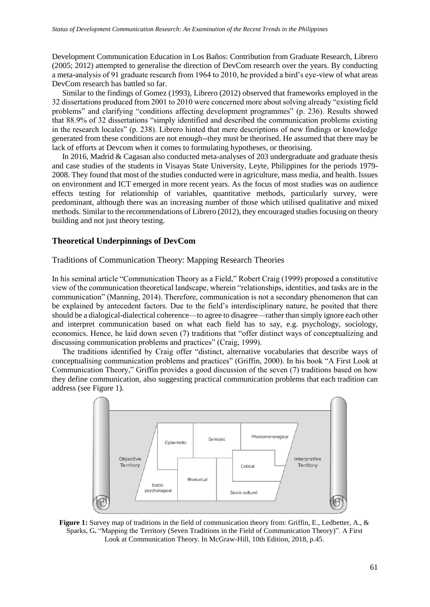Development Communication Education in Los Baños: Contribution from Graduate Research, Librero (2005; 2012) attempted to generalise the direction of DevCom research over the years. By conducting a meta-analysis of 91 graduate research from 1964 to 2010, he provided a bird's eye-view of what areas DevCom research has battled so far.

Similar to the findings of Gomez (1993), Librero (2012) observed that frameworks employed in the 32 dissertations produced from 2001 to 2010 were concerned more about solving already "existing field problems" and clarifying "conditions affecting development programmes" (p. 236). Results showed that 88.9% of 32 dissertations "simply identified and described the communication problems existing in the research locales" (p. 238). Librero hinted that mere descriptions of new findings or knowledge generated from these conditions are not enough--they must be theorised. He assumed that there may be lack of efforts at Devcom when it comes to formulating hypotheses, or theorising.

In 2016, Madrid & Cagasan also conducted meta-analyses of 203 undergraduate and graduate thesis and case studies of the students in Visayas State University, Leyte, Philippines for the periods 1979- 2008. They found that most of the studies conducted were in agriculture, mass media, and health. Issues on environment and ICT emerged in more recent years. As the focus of most studies was on audience effects testing for relationship of variables, quantitative methods, particularly survey, were predominant, although there was an increasing number of those which utilised qualitative and mixed methods. Similar to the recommendations of Librero (2012), they encouraged studies focusing on theory building and not just theory testing.

## **Theoretical Underpinnings of DevCom**

#### Traditions of Communication Theory: Mapping Research Theories

In his seminal article "Communication Theory as a Field," Robert Craig (1999) proposed a constitutive view of the communication theoretical landscape, wherein "relationships, identities, and tasks are in the communication" (Manning, 2014). Therefore, communication is not a secondary phenomenon that can be explained by antecedent factors. Due to the field's interdisciplinary nature, he posited that there should be a dialogical-dialectical coherence—to agree to disagree—rather than simply ignore each other and interpret communication based on what each field has to say, e.g. psychology, sociology, economics. Hence, he laid down seven (7) traditions that "offer distinct ways of conceptualizing and discussing communication problems and practices" (Craig, 1999).

The traditions identified by Craig offer "distinct, alternative vocabularies that describe ways of conceptualising communication problems and practices" (Griffin, 2000). In his book "A First Look at Communication Theory," Griffin provides a good discussion of the seven (7) traditions based on how they define communication, also suggesting practical communication problems that each tradition can address (see Figure 1).



**Figure 1:** Survey map of traditions in the field of communication theory from: Griffin, E., Ledbetter, A., & Sparks, G**.** "Mapping the Territory (Seven Traditions in the Field of Communication Theory)". A First Look at Communication Theory. In McGraw-Hill, 10th Edition, 2018, p.45.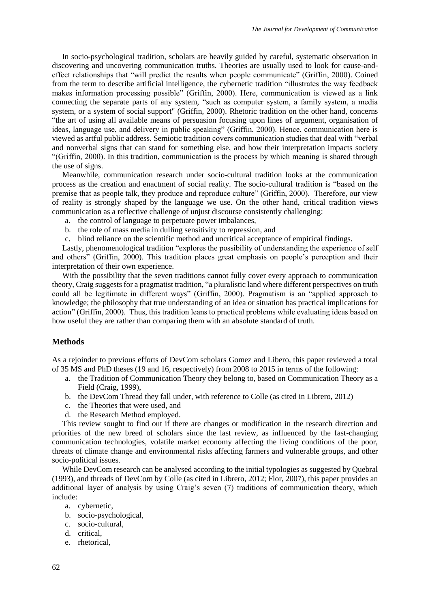In socio-psychological tradition, scholars are heavily guided by careful, systematic observation in discovering and uncovering communication truths. Theories are usually used to look for cause-andeffect relationships that "will predict the results when people communicate" (Griffin, 2000). Coined from the term to describe artificial intelligence, the cybernetic tradition "illustrates the way feedback makes information processing possible" (Griffin, 2000). Here, communication is viewed as a link connecting the separate parts of any system, "such as computer system, a family system, a media system, or a system of social support" (Griffin, 2000). Rhetoric tradition on the other hand, concerns "the art of using all available means of persuasion focusing upon lines of argument, organisation of ideas, language use, and delivery in public speaking" (Griffin, 2000). Hence, communication here is viewed as artful public address. Semiotic tradition covers communication studies that deal with "verbal and nonverbal signs that can stand for something else, and how their interpretation impacts society "(Griffin, 2000). In this tradition, communication is the process by which meaning is shared through the use of signs.

Meanwhile, communication research under socio-cultural tradition looks at the communication process as the creation and enactment of social reality. The socio-cultural tradition is "based on the premise that as people talk, they produce and reproduce culture" (Griffin, 2000). Therefore, our view of reality is strongly shaped by the language we use. On the other hand, critical tradition views communication as a reflective challenge of unjust discourse consistently challenging:

- a. the control of language to perpetuate power imbalances,
- b. the role of mass media in dulling sensitivity to repression, and
- c. blind reliance on the scientific method and uncritical acceptance of empirical findings.

Lastly, phenomenological tradition "explores the possibility of understanding the experience of self and others" (Griffin, 2000). This tradition places great emphasis on people's perception and their interpretation of their own experience.

With the possibility that the seven traditions cannot fully cover every approach to communication theory, Craig suggests for a pragmatist tradition, "a pluralistic land where different perspectives on truth could all be legitimate in different ways" (Griffin, 2000). Pragmatism is an "applied approach to knowledge; the philosophy that true understanding of an idea or situation has practical implications for action" (Griffin, 2000). Thus, this tradition leans to practical problems while evaluating ideas based on how useful they are rather than comparing them with an absolute standard of truth.

# **Methods**

As a rejoinder to previous efforts of DevCom scholars Gomez and Libero, this paper reviewed a total of 35 MS and PhD theses (19 and 16, respectively) from 2008 to 2015 in terms of the following:

- a. the Tradition of Communication Theory they belong to, based on Communication Theory as a Field (Craig, 1999),
- b. the DevCom Thread they fall under, with reference to Colle (as cited in Librero, 2012)
- c. the Theories that were used, and
- d. the Research Method employed.

This review sought to find out if there are changes or modification in the research direction and priorities of the new breed of scholars since the last review, as influenced by the fast-changing communication technologies, volatile market economy affecting the living conditions of the poor, threats of climate change and environmental risks affecting farmers and vulnerable groups, and other socio-political issues.

While DevCom research can be analysed according to the initial typologies as suggested by Quebral (1993), and threads of DevCom by Colle (as cited in Librero, 2012; Flor, 2007), this paper provides an additional layer of analysis by using Craig's seven (7) traditions of communication theory, which include:

- a. cybernetic,
- b. socio-psychological,
- c. socio-cultural,
- d. critical,
- e. rhetorical,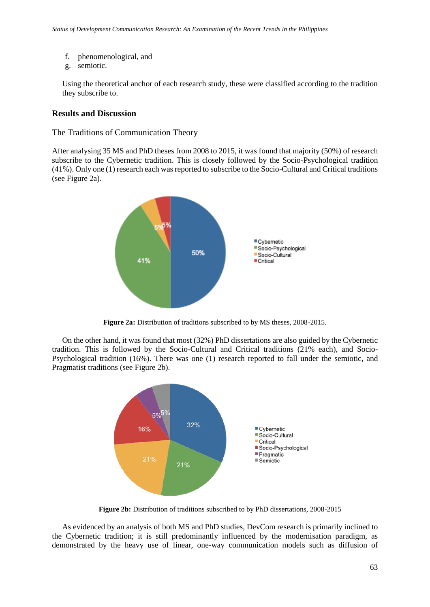- f. phenomenological, and
- g. semiotic.

Using the theoretical anchor of each research study, these were classified according to the tradition they subscribe to.

#### **Results and Discussion**

The Traditions of Communication Theory

After analysing 35 MS and PhD theses from 2008 to 2015, it was found that majority (50%) of research subscribe to the Cybernetic tradition. This is closely followed by the Socio-Psychological tradition (41%). Only one (1) research each was reported to subscribe to the Socio-Cultural and Critical traditions (see Figure 2a).



**Figure 2a:** Distribution of traditions subscribed to by MS theses, 2008-2015.

On the other hand, it was found that most (32%) PhD dissertations are also guided by the Cybernetic tradition. This is followed by the Socio-Cultural and Critical traditions (21% each), and Socio-Psychological tradition (16%). There was one (1) research reported to fall under the semiotic, and Pragmatist traditions (see Figure 2b).



**Figure 2b:** Distribution of traditions subscribed to by PhD dissertations, 2008-2015

As evidenced by an analysis of both MS and PhD studies, DevCom research is primarily inclined to the Cybernetic tradition; it is still predominantly influenced by the modernisation paradigm, as demonstrated by the heavy use of linear, one-way communication models such as diffusion of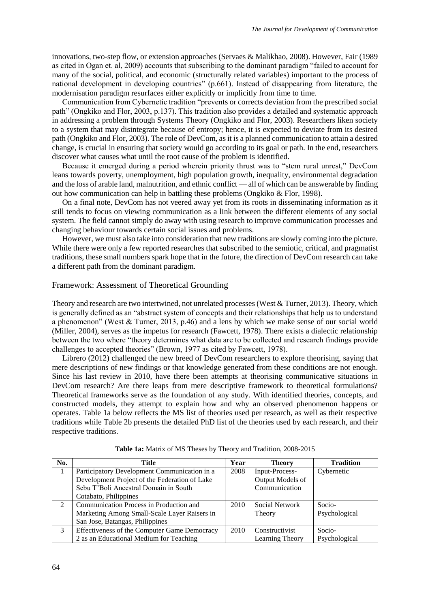innovations, two-step flow, or extension approaches (Servaes & Malikhao, 2008). However, Fair (1989 as cited in Ogan et. al, 2009) accounts that subscribing to the dominant paradigm "failed to account for many of the social, political, and economic (structurally related variables) important to the process of national development in developing countries" (p.661). Instead of disappearing from literature, the modernisation paradigm resurfaces either explicitly or implicitly from time to time.

Communication from Cybernetic tradition "prevents or corrects deviation from the prescribed social path" (Ongkiko and Flor, 2003, p.137). This tradition also provides a detailed and systematic approach in addressing a problem through Systems Theory (Ongkiko and Flor, 2003). Researchers liken society to a system that may disintegrate because of entropy; hence, it is expected to deviate from its desired path (Ongkiko and Flor, 2003). The role of DevCom, as it is a planned communication to attain a desired change, is crucial in ensuring that society would go according to its goal or path. In the end, researchers discover what causes what until the root cause of the problem is identified.

Because it emerged during a period wherein priority thrust was to "stem rural unrest," DevCom leans towards poverty, unemployment, high population growth, inequality, environmental degradation and the loss of arable land, malnutrition, and ethnic conflict — all of which can be answerable by finding out how communication can help in battling these problems (Ongkiko & Flor, 1998).

On a final note, DevCom has not veered away yet from its roots in disseminating information as it still tends to focus on viewing communication as a link between the different elements of any social system. The field cannot simply do away with using research to improve communication processes and changing behaviour towards certain social issues and problems.

However, we must also take into consideration that new traditions are slowly coming into the picture. While there were only a few reported researches that subscribed to the semiotic, critical, and pragmatist traditions, these small numbers spark hope that in the future, the direction of DevCom research can take a different path from the dominant paradigm.

#### Framework: Assessment of Theoretical Grounding

Theory and research are two intertwined, not unrelated processes (West & Turner, 2013). Theory, which is generally defined as an "abstract system of concepts and their relationships that help us to understand a phenomenon" (West & Turner, 2013, p.46) and a lens by which we make sense of our social world (Miller, 2004), serves as the impetus for research (Fawcett, 1978). There exists a dialectic relationship between the two where "theory determines what data are to be collected and research findings provide challenges to accepted theories" (Brown, 1977 as cited by Fawcett, 1978).

Librero (2012) challenged the new breed of DevCom researchers to explore theorising, saying that mere descriptions of new findings or that knowledge generated from these conditions are not enough. Since his last review in 2010, have there been attempts at theorising communicative situations in DevCom research? Are there leaps from mere descriptive framework to theoretical formulations? Theoretical frameworks serve as the foundation of any study. With identified theories, concepts, and constructed models, they attempt to explain how and why an observed phenomenon happens or operates. Table 1a below reflects the MS list of theories used per research, as well as their respective traditions while Table 2b presents the detailed PhD list of the theories used by each research, and their respective traditions.

| No.            | Title                                         | Year | <b>Theory</b>    | <b>Tradition</b> |
|----------------|-----------------------------------------------|------|------------------|------------------|
|                | Participatory Development Communication in a  | 2008 | Input-Process-   | Cybernetic       |
|                | Development Project of the Federation of Lake |      | Output Models of |                  |
|                | Sebu T'Boli Ancestral Domain in South         |      | Communication    |                  |
|                | Cotabato, Philippines                         |      |                  |                  |
| $\mathfrak{D}$ | Communication Process in Production and       | 2010 | Social Network   | Socio-           |
|                | Marketing Among Small-Scale Layer Raisers in  |      | Theory           | Psychological    |
|                | San Jose, Batangas, Philippines               |      |                  |                  |
| 3              | Effectiveness of the Computer Game Democracy  | 2010 | Constructivist   | Socio-           |
|                | 2 as an Educational Medium for Teaching       |      | Learning Theory  | Psychological    |

**Table 1a:** Matrix of MS Theses by Theory and Tradition, 2008-2015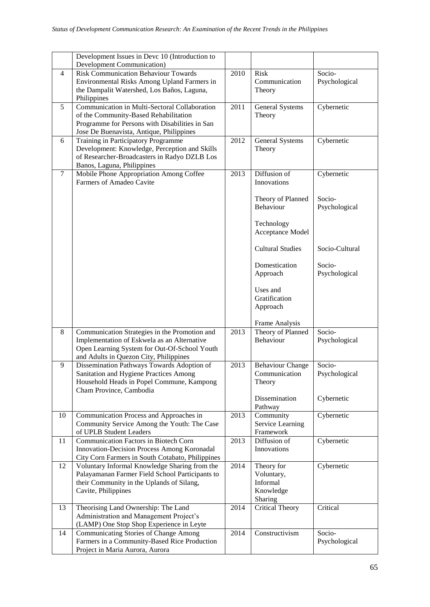|                | Development Issues in Devc 10 (Introduction to<br>Development Communication)         |      |                         |                |
|----------------|--------------------------------------------------------------------------------------|------|-------------------------|----------------|
| $\overline{4}$ | <b>Risk Communication Behaviour Towards</b>                                          | 2010 | <b>Risk</b>             | Socio-         |
|                | Environmental Risks Among Upland Farmers in                                          |      | Communication           | Psychological  |
|                | the Dampalit Watershed, Los Baños, Laguna,                                           |      | Theory                  |                |
|                | Philippines                                                                          |      |                         |                |
| 5              | Communication in Multi-Sectoral Collaboration                                        | 2011 | <b>General Systems</b>  | Cybernetic     |
|                | of the Community-Based Rehabilitation                                                |      | Theory                  |                |
|                | Programme for Persons with Disabilities in San                                       |      |                         |                |
|                | Jose De Buenavista, Antique, Philippines                                             |      |                         |                |
| 6              | Training in Participatory Programme                                                  | 2012 | <b>General Systems</b>  | Cybernetic     |
|                | Development: Knowledge, Perception and Skills                                        |      | Theory                  |                |
|                | of Researcher-Broadcasters in Radyo DZLB Los<br>Banos, Laguna, Philippines           |      |                         |                |
| $\tau$         | Mobile Phone Appropriation Among Coffee                                              | 2013 | Diffusion of            | Cybernetic     |
|                | Farmers of Amadeo Cavite                                                             |      | Innovations             |                |
|                |                                                                                      |      |                         |                |
|                |                                                                                      |      | Theory of Planned       | Socio-         |
|                |                                                                                      |      | Behaviour               | Psychological  |
|                |                                                                                      |      |                         |                |
|                |                                                                                      |      | Technology              |                |
|                |                                                                                      |      | Acceptance Model        |                |
|                |                                                                                      |      |                         |                |
|                |                                                                                      |      | <b>Cultural Studies</b> | Socio-Cultural |
|                |                                                                                      |      | Domestication           | Socio-         |
|                |                                                                                      |      | Approach                | Psychological  |
|                |                                                                                      |      |                         |                |
|                |                                                                                      |      | Uses and                |                |
|                |                                                                                      |      | Gratification           |                |
|                |                                                                                      |      | Approach                |                |
|                |                                                                                      |      |                         |                |
|                |                                                                                      |      | Frame Analysis          |                |
| 8              | Communication Strategies in the Promotion and                                        | 2013 | Theory of Planned       | Socio-         |
|                | Implementation of Eskwela as an Alternative                                          |      | Behaviour               | Psychological  |
|                | Open Learning System for Out-Of-School Youth                                         |      |                         |                |
| 9              | and Adults in Quezon City, Philippines<br>Dissemination Pathways Towards Adoption of | 2013 | <b>Behaviour Change</b> | Socio-         |
|                | Sanitation and Hygiene Practices Among                                               |      | Communication           | Psychological  |
|                | Household Heads in Popel Commune, Kampong                                            |      | Theory                  |                |
|                | Cham Province, Cambodia                                                              |      |                         |                |
|                |                                                                                      |      | Dissemination           | Cybernetic     |
|                |                                                                                      |      | Pathway                 |                |
| 10             | Communication Process and Approaches in                                              | 2013 | Community               | Cybernetic     |
|                | Community Service Among the Youth: The Case                                          |      | Service Learning        |                |
|                | of UPLB Student Leaders                                                              |      | Framework               |                |
| 11             | Communication Factors in Biotech Corn                                                | 2013 | Diffusion of            | Cybernetic     |
|                | <b>Innovation-Decision Process Among Koronadal</b>                                   |      | Innovations             |                |
|                | City Corn Farmers in South Cotabato, Philippines                                     |      |                         |                |
| 12             | Voluntary Informal Knowledge Sharing from the                                        | 2014 | Theory for              | Cybernetic     |
|                | Palayamanan Farmer Field School Participants to                                      |      | Voluntary,<br>Informal  |                |
|                | their Community in the Uplands of Silang,<br>Cavite, Philippines                     |      | Knowledge               |                |
|                |                                                                                      |      | Sharing                 |                |
| 13             | Theorising Land Ownership: The Land                                                  | 2014 | <b>Critical Theory</b>  | Critical       |
|                | Administration and Management Project's                                              |      |                         |                |
|                | (LAMP) One Stop Shop Experience in Leyte                                             |      |                         |                |
| 14             | <b>Communicating Stories of Change Among</b>                                         | 2014 | Constructivism          | Socio-         |
|                | Farmers in a Community-Based Rice Production                                         |      |                         | Psychological  |
|                | Project in Maria Aurora, Aurora                                                      |      |                         |                |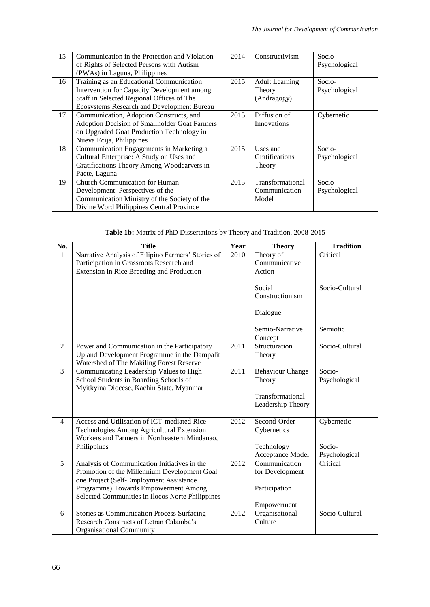| 15 | Communication in the Protection and Violation<br>of Rights of Selected Persons with Autism<br>(PWAs) in Laguna, Philippines                                                        | 2014 | Constructivism                                 | Socio-<br>Psychological |
|----|------------------------------------------------------------------------------------------------------------------------------------------------------------------------------------|------|------------------------------------------------|-------------------------|
| 16 | Training as an Educational Communication<br>Intervention for Capacity Development among<br>Staff in Selected Regional Offices of The<br>Ecosystems Research and Development Bureau | 2015 | <b>Adult Learning</b><br>Theory<br>(Andragogy) | Socio-<br>Psychological |
| 17 | Communication, Adoption Constructs, and<br>Adoption Decision of Smallholder Goat Farmers<br>on Upgraded Goat Production Technology in<br>Nueva Ecija, Philippines                  | 2015 | Diffusion of<br>Innovations                    | Cybernetic              |
| 18 | Communication Engagements in Marketing a<br>Cultural Enterprise: A Study on Uses and<br>Gratifications Theory Among Woodcarvers in<br>Paete, Laguna                                | 2015 | Uses and<br><b>Gratifications</b><br>Theory    | Socio-<br>Psychological |
| 19 | <b>Church Communication for Human</b><br>Development: Perspectives of the<br>Communication Ministry of the Society of the<br>Divine Word Philippines Central Province              | 2015 | Transformational<br>Communication<br>Model     | Socio-<br>Psychological |

**Table 1b:** Matrix of PhD Dissertations by Theory and Tradition, 2008-2015

| No.            | <b>Title</b>                                       | Year | <b>Theory</b>             | <b>Tradition</b> |
|----------------|----------------------------------------------------|------|---------------------------|------------------|
| $\mathbf{1}$   | Narrative Analysis of Filipino Farmers' Stories of | 2010 | Theory of                 | Critical         |
|                | Participation in Grassroots Research and           |      | Communicative             |                  |
|                | Extension in Rice Breeding and Production          |      | Action                    |                  |
|                |                                                    |      |                           |                  |
|                |                                                    |      | Social<br>Constructionism | Socio-Cultural   |
|                |                                                    |      |                           |                  |
|                |                                                    |      | Dialogue                  |                  |
|                |                                                    |      | Semio-Narrative           | Semiotic         |
|                |                                                    |      | Concept                   |                  |
| $\overline{2}$ | Power and Communication in the Participatory       | 2011 | Structuration             | Socio-Cultural   |
|                | Upland Development Programme in the Dampalit       |      | Theory                    |                  |
|                | Watershed of The Makiling Forest Reserve           |      |                           |                  |
| 3              | Communicating Leadership Values to High            | 2011 | <b>Behaviour Change</b>   | Socio-           |
|                | School Students in Boarding Schools of             |      | Theory                    | Psychological    |
|                | Myitkyina Diocese, Kachin State, Myanmar           |      |                           |                  |
|                |                                                    |      | Transformational          |                  |
|                |                                                    |      | Leadership Theory         |                  |
| $\overline{4}$ | Access and Utilisation of ICT-mediated Rice        | 2012 | Second-Order              | Cybernetic       |
|                | Technologies Among Agricultural Extension          |      | Cybernetics               |                  |
|                | Workers and Farmers in Northeastern Mindanao,      |      |                           |                  |
|                | Philippines                                        |      | Technology                | Socio-           |
|                |                                                    |      | Acceptance Model          | Psychological    |
| 5              | Analysis of Communication Initiatives in the       | 2012 | Communication             | Critical         |
|                | Promotion of the Millennium Development Goal       |      | for Development           |                  |
|                | one Project (Self-Employment Assistance            |      |                           |                  |
|                | Programme) Towards Empowerment Among               |      | Participation             |                  |
|                | Selected Communities in Ilocos Norte Philippines   |      |                           |                  |
|                |                                                    |      | Empowerment               |                  |
| 6              | Stories as Communication Process Surfacing         | 2012 | Organisational            | Socio-Cultural   |
|                | Research Constructs of Letran Calamba's            |      | Culture                   |                  |
|                | <b>Organisational Community</b>                    |      |                           |                  |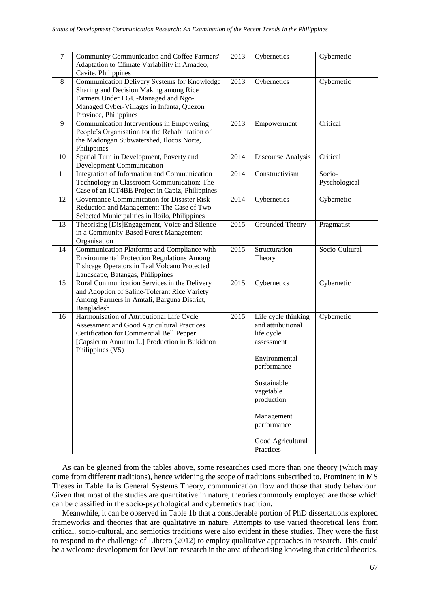| $\tau$ | Community Communication and Coffee Farmers'<br>Adaptation to Climate Variability in Amadeo,<br>Cavite, Philippines                                                                                     | 2013 | Cybernetics                                                                                                                                                                                                   | Cybernetic              |
|--------|--------------------------------------------------------------------------------------------------------------------------------------------------------------------------------------------------------|------|---------------------------------------------------------------------------------------------------------------------------------------------------------------------------------------------------------------|-------------------------|
| 8      | Communication Delivery Systems for Knowledge<br>Sharing and Decision Making among Rice<br>Farmers Under LGU-Managed and Ngo-<br>Managed Cyber-Villages in Infanta, Quezon<br>Province, Philippines     | 2013 | Cybernetics                                                                                                                                                                                                   | Cybernetic              |
| 9      | Communication Interventions in Empowering<br>People's Organisation for the Rehabilitation of<br>the Madongan Subwatershed, Ilocos Norte,<br>Philippines                                                | 2013 | Empowerment                                                                                                                                                                                                   | Critical                |
| 10     | Spatial Turn in Development, Poverty and<br><b>Development Communication</b>                                                                                                                           | 2014 | Discourse Analysis                                                                                                                                                                                            | Critical                |
| 11     | Integration of Information and Communication<br>Technology in Classroom Communication: The<br>Case of an ICT4BE Project in Capiz, Philippines                                                          | 2014 | Constructivism                                                                                                                                                                                                | Socio-<br>Pyschological |
| 12     | Governance Communication for Disaster Risk<br>Reduction and Management: The Case of Two-<br>Selected Municipalities in Iloilo, Philippines                                                             | 2014 | Cybernetics                                                                                                                                                                                                   | Cybernetic              |
| 13     | Theorising [Dis]Engagement, Voice and Silence<br>in a Community-Based Forest Management<br>Organisation                                                                                                | 2015 | Grounded Theory                                                                                                                                                                                               | Pragmatist              |
| 14     | Communication Platforms and Compliance with<br><b>Environmental Protection Regulations Among</b><br>Fishcage Operators in Taal Volcano Protected<br>Landscape, Batangas, Philippines                   | 2015 | Structuration<br>Theory                                                                                                                                                                                       | Socio-Cultural          |
| 15     | Rural Communication Services in the Delivery<br>and Adoption of Saline-Tolerant Rice Variety<br>Among Farmers in Amtali, Barguna District,<br>Bangladesh                                               | 2015 | Cybernetics                                                                                                                                                                                                   | Cybernetic              |
| 16     | Harmonisation of Attributional Life Cycle<br>Assessment and Good Agricultural Practices<br>Certification for Commercial Bell Pepper<br>[Capsicum Annuum L.] Production in Bukidnon<br>Philippines (V5) | 2015 | Life cycle thinking<br>and attributional<br>life cycle<br>assessment<br>Environmental<br>performance<br>Sustainable<br>vegetable<br>production<br>Management<br>performance<br>Good Agricultural<br>Practices | Cybernetic              |

As can be gleaned from the tables above, some researches used more than one theory (which may come from different traditions), hence widening the scope of traditions subscribed to. Prominent in MS Theses in Table 1a is General Systems Theory, communication flow and those that study behaviour. Given that most of the studies are quantitative in nature, theories commonly employed are those which can be classified in the socio-psychological and cybernetics tradition.

Meanwhile, it can be observed in Table 1b that a considerable portion of PhD dissertations explored frameworks and theories that are qualitative in nature. Attempts to use varied theoretical lens from critical, socio-cultural, and semiotics traditions were also evident in these studies. They were the first to respond to the challenge of Librero (2012) to employ qualitative approaches in research. This could be a welcome development for DevCom research in the area of theorising knowing that critical theories,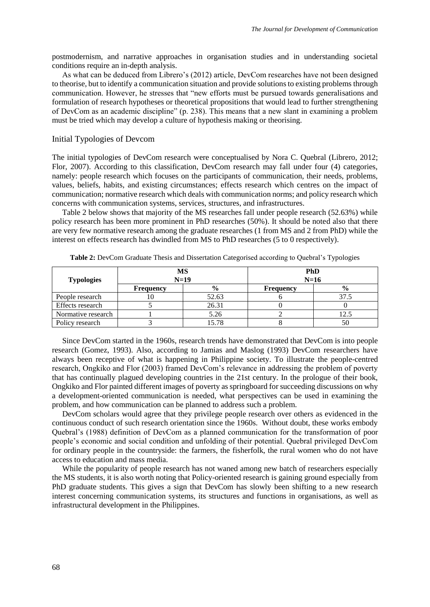postmodernism, and narrative approaches in organisation studies and in understanding societal conditions require an in-depth analysis.

As what can be deduced from Librero's (2012) article, DevCom researches have not been designed to theorise, but to identify a communication situation and provide solutions to existing problems through communication. However, he stresses that "new efforts must be pursued towards generalisations and formulation of research hypotheses or theoretical propositions that would lead to further strengthening of DevCom as an academic discipline" (p. 238). This means that a new slant in examining a problem must be tried which may develop a culture of hypothesis making or theorising.

#### Initial Typologies of Devcom

The initial typologies of DevCom research were conceptualised by Nora C. Quebral (Librero, 2012; Flor, 2007). According to this classification, DevCom research may fall under four (4) categories, namely: people research which focuses on the participants of communication, their needs, problems, values, beliefs, habits, and existing circumstances; effects research which centres on the impact of communication; normative research which deals with communication norms; and policy research which concerns with communication systems, services, structures, and infrastructures.

Table 2 below shows that majority of the MS researches fall under people research (52.63%) while policy research has been more prominent in PhD researches (50%). It should be noted also that there are very few normative research among the graduate researches (1 from MS and 2 from PhD) while the interest on effects research has dwindled from MS to PhD researches (5 to 0 respectively).

| <b>Typologies</b>  |           | MS<br>$N=19$  | <b>PhD</b><br>$N=16$ |               |  |
|--------------------|-----------|---------------|----------------------|---------------|--|
|                    | Frequency | $\frac{0}{0}$ | <b>Frequency</b>     | $\frac{6}{9}$ |  |
| People research    | ΙU        | 52.63         |                      | 37.5          |  |
| Effects research   |           | 26.31         |                      |               |  |
| Normative research |           | 5.26          |                      |               |  |
| Policy research    |           | 15.78         |                      | 50            |  |

**Table 2:** DevCom Graduate Thesis and Dissertation Categorised according to Quebral's Typologies

Since DevCom started in the 1960s, research trends have demonstrated that DevCom is into people research (Gomez, 1993). Also, according to Jamias and Maslog (1993) DevCom researchers have always been receptive of what is happening in Philippine society. To illustrate the people-centred research, Ongkiko and Flor (2003) framed DevCom's relevance in addressing the problem of poverty that has continually plagued developing countries in the 21st century. In the prologue of their book, Ongkiko and Flor painted different images of poverty as springboard for succeeding discussions on why a development-oriented communication is needed, what perspectives can be used in examining the problem, and how communication can be planned to address such a problem.

DevCom scholars would agree that they privilege people research over others as evidenced in the continuous conduct of such research orientation since the 1960s. Without doubt, these works embody Quebral's (1988) definition of DevCom as a planned communication for the transformation of poor people's economic and social condition and unfolding of their potential. Quebral privileged DevCom for ordinary people in the countryside: the farmers, the fisherfolk, the rural women who do not have access to education and mass media.

While the popularity of people research has not waned among new batch of researchers especially the MS students, it is also worth noting that Policy-oriented research is gaining ground especially from PhD graduate students. This gives a sign that DevCom has slowly been shifting to a new research interest concerning communication systems, its structures and functions in organisations, as well as infrastructural development in the Philippines.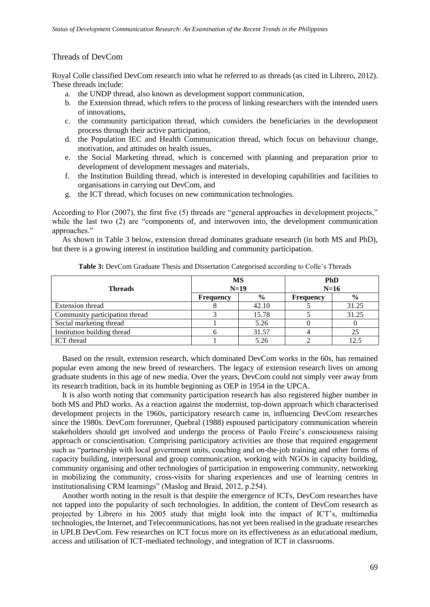#### Threads of DevCom

Royal Colle classified DevCom research into what he referred to as threads (as cited in Librero, 2012). These threads include:

- a. the UNDP thread, also known as development support communication,
- b. the Extension thread, which refers to the process of linking researchers with the intended users of innovations,
- c. the community participation thread, which considers the beneficiaries in the development process through their active participation,
- d. the Population IEC and Health Communication thread, which focus on behaviour change, motivation, and attitudes on health issues,
- e. the Social Marketing thread, which is concerned with planning and preparation prior to development of development messages and materials,
- f. the Institution Building thread, which is interested in developing capabilities and facilities to organisations in carrying out DevCom, and
- g. the ICT thread, which focuses on new communication technologies.

According to Flor (2007), the first five (5) threads are "general approaches in development projects," while the last two (2) are "components of, and interwoven into, the development communication approaches."

As shown in Table 3 below, extension thread dominates graduate research (in both MS and PhD), but there is a growing interest in institution building and community participation.

| <b>Threads</b>                 | <b>MS</b>        | $N=19$        | <b>PhD</b><br>$N=16$ |       |
|--------------------------------|------------------|---------------|----------------------|-------|
|                                | <b>Frequency</b> | $\frac{6}{9}$ | <b>Frequency</b>     | $\%$  |
| <b>Extension thread</b>        |                  | 42.10         |                      | 31.25 |
| Community participation thread |                  | 15.78         |                      | 31.25 |
| Social marketing thread        |                  | 5.26          |                      |       |
| Institution building thread    |                  | 31.57         |                      |       |
| <b>ICT</b> thread              |                  | 5.26          |                      | 12.5  |

**Table 3:** DevCom Graduate Thesis and Dissertation Categorised according to Colle's Threads

Based on the result, extension research, which dominated DevCom works in the 60s, has remained popular even among the new breed of researchers. The legacy of extension research lives on among graduate students in this age of new media. Over the years, DevCom could not simply veer away from its research tradition, back in its humble beginning as OEP in 1954 in the UPCA.

It is also worth noting that community participation research has also registered higher number in both MS and PhD works. As a reaction against the modernist, top-down approach which characterised development projects in the 1960s, participatory research came in, influencing DevCom researches since the 1980s. DevCom forerunner, Quebral (1988) espoused participatory communication wherein stakeholders should get involved and undergo the process of Paolo Freire's consciousness raising approach or conscientisation. Comprising participatory activities are those that required engagement such as "partnership with local government units, coaching and on-the-job training and other forms of capacity building, interpersonal and group communication, working with NGOs in capacity building, community organising and other technologies of participation in empowering community, networking in mobilizing the community, cross-visits for sharing experiences and use of learning centres in institutionalising CRM learnings" (Maslog and Braid, 2012, p.254).

Another worth noting in the result is that despite the emergence of ICTs, DevCom researches have not tapped into the popularity of such technologies. In addition, the content of DevCom research as projected by Librero in his 2005 study that might look into the impact of ICT's, multimedia technologies, the Internet, and Telecommunications, has not yet been realised in the graduate researches in UPLB DevCom. Few researches on ICT focus more on its effectiveness as an educational medium, access and utilisation of ICT-mediated technology, and integration of ICT in classrooms.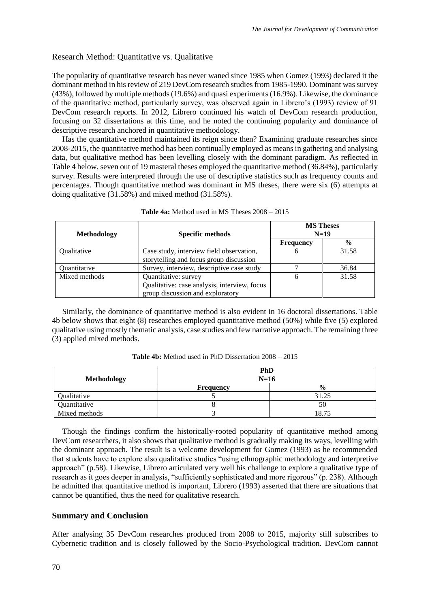# Research Method: Quantitative vs. Qualitative

The popularity of quantitative research has never waned since 1985 when Gomez (1993) declared it the dominant method in his review of 219 DevCom research studies from 1985-1990. Dominant was survey (43%), followed by multiple methods (19.6%) and quasi experiments (16.9%). Likewise, the dominance of the quantitative method, particularly survey, was observed again in Librero's (1993) review of 91 DevCom research reports. In 2012, Librero continued his watch of DevCom research production, focusing on 32 dissertations at this time, and he noted the continuing popularity and dominance of descriptive research anchored in quantitative methodology.

Has the quantitative method maintained its reign since then? Examining graduate researches since 2008-2015, the quantitative method has been continually employed as means in gathering and analysing data, but qualitative method has been levelling closely with the dominant paradigm. As reflected in Table 4 below, seven out of 19 masteral theses employed the quantitative method (36.84%), particularly survey. Results were interpreted through the use of descriptive statistics such as frequency counts and percentages. Though quantitative method was dominant in MS theses, there were six (6) attempts at doing qualitative (31.58%) and mixed method (31.58%).

| <b>Methodology</b> | <b>Specific methods</b>                                                                                  | <b>MS Theses</b><br>$N=19$ |               |
|--------------------|----------------------------------------------------------------------------------------------------------|----------------------------|---------------|
|                    |                                                                                                          | <b>Frequency</b>           | $\frac{0}{0}$ |
| <b>Oualitative</b> | Case study, interview field observation,<br>storytelling and focus group discussion                      | 6                          | 31.58         |
| Quantitative       | Survey, interview, descriptive case study                                                                |                            | 36.84         |
| Mixed methods      | Quantitative: survey<br>Qualitative: case analysis, interview, focus<br>group discussion and exploratory | h                          | 31.58         |

| <b>Table 4a:</b> Method used in MS Theses $2008 - 2015$ |  |
|---------------------------------------------------------|--|
|---------------------------------------------------------|--|

Similarly, the dominance of quantitative method is also evident in 16 doctoral dissertations. Table 4b below shows that eight (8) researches employed quantitative method (50%) while five (5) explored qualitative using mostly thematic analysis, case studies and few narrative approach. The remaining three (3) applied mixed methods.

| <b>Table 4b:</b> Method used in PhD Dissertation $2008 - 2015$ |  |
|----------------------------------------------------------------|--|
|----------------------------------------------------------------|--|

| Methodology   |           | <b>PhD</b><br>$N=16$ |
|---------------|-----------|----------------------|
|               | Frequency | $\frac{6}{6}$        |
| Qualitative   |           | 31.25                |
| Quantitative  |           | 50                   |
| Mixed methods |           | 18.75                |

Though the findings confirm the historically-rooted popularity of quantitative method among DevCom researchers, it also shows that qualitative method is gradually making its ways, levelling with the dominant approach. The result is a welcome development for Gomez (1993) as he recommended that students have to explore also qualitative studies "using ethnographic methodology and interpretive approach" (p.58). Likewise, Librero articulated very well his challenge to explore a qualitative type of research as it goes deeper in analysis, "sufficiently sophisticated and more rigorous" (p. 238). Although he admitted that quantitative method is important, Librero (1993) asserted that there are situations that cannot be quantified, thus the need for qualitative research.

# **Summary and Conclusion**

After analysing 35 DevCom researches produced from 2008 to 2015, majority still subscribes to Cybernetic tradition and is closely followed by the Socio-Psychological tradition. DevCom cannot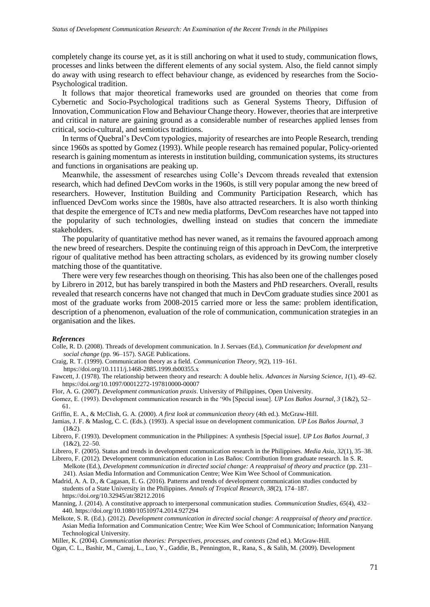completely change its course yet, as it is still anchoring on what it used to study, communication flows, processes and links between the different elements of any social system. Also, the field cannot simply do away with using research to effect behaviour change, as evidenced by researches from the Socio-Psychological tradition.

It follows that major theoretical frameworks used are grounded on theories that come from Cybernetic and Socio-Psychological traditions such as General Systems Theory, Diffusion of Innovation, Communication Flow and Behaviour Change theory. However, theories that are interpretive and critical in nature are gaining ground as a considerable number of researches applied lenses from critical, socio-cultural, and semiotics traditions.

In terms of Quebral's DevCom typologies, majority of researches are into People Research, trending since 1960s as spotted by Gomez (1993). While people research has remained popular, Policy-oriented research is gaining momentum as interests in institution building, communication systems, its structures and functions in organisations are peaking up.

Meanwhile, the assessment of researches using Colle's Devcom threads revealed that extension research, which had defined DevCom works in the 1960s, is still very popular among the new breed of researchers. However, Institution Building and Community Participation Research, which has influenced DevCom works since the 1980s, have also attracted researchers. It is also worth thinking that despite the emergence of ICTs and new media platforms, DevCom researches have not tapped into the popularity of such technologies, dwelling instead on studies that concern the immediate stakeholders.

The popularity of quantitative method has never waned, as it remains the favoured approach among the new breed of researchers. Despite the continuing reign of this approach in DevCom, the interpretive rigour of qualitative method has been attracting scholars, as evidenced by its growing number closely matching those of the quantitative.

There were very few researches though on theorising. This has also been one of the challenges posed by Librero in 2012, but has barely transpired in both the Masters and PhD researchers. Overall, results revealed that research concerns have not changed that much in DevCom graduate studies since 2001 as most of the graduate works from 2008-2015 carried more or less the same: problem identification, description of a phenomenon, evaluation of the role of communication, communication strategies in an organisation and the likes.

#### *References*

- Colle, R. D. (2008). Threads of development communication. In J. Servaes (Ed.), *Communication for development and social change* (pp. 96–157). SAGE Publications.
- Craig, R. T. (1999). Communication theory as a field. *Communication Theory*, *9*(2), 119–161.

https://doi.org/10.1111/j.1468-2885.1999.tb00355.x

- Fawcett, J. (1978). The relationship between theory and research: A double helix. *Advances in Nursing Science*, *1*(1), 49–62. https://doi.org/10.1097/00012272-197810000-00007
- Flor, A. G. (2007). *Development communication praxis*. University of Philippines, Open University.
- Gomez, E. (1993). Development communication research in the '90s [Special issue]. *UP Los Baños Journal*, *3* (1&2), 52– 61.

Griffin, E. A., & McClish, G. A. (2000). *A first look at communication theory* (4th ed.). McGraw-Hill.

- Jamias, J. F. & Maslog, C. C. (Eds.). (1993). A special issue on development communication. *UP Los Baños Journal*, *3*   $(1&2)$ .
- Librero, F. (1993). Development communication in the Philippines: A synthesis [Special issue]. *UP Los Baños Journal*, *3*  $(1&22, 22-50.$

Librero, F. (2005). Status and trends in development communication research in the Philippines. *Media Asia*, *32*(1), 35–38.

- Librero, F. (2012). Development communication education in Los Baños: Contribution from graduate research. In S. R. Melkote (Ed.), *Development communication in directed social change: A reappraisal of theory and practice* (pp. 231– 241). Asian Media Information and Communication Centre; Wee Kim Wee School of Communication.
- Madrid, A. A. D., & Cagasan, E. G. (2016). Patterns and trends of development communication studies conducted by students of a State University in the Philippines. *Annals of Tropical Research*, *38*(2), 174–187. https://doi.org/10.32945/atr38212.2016
- Manning, J. (2014). A constitutive approach to interpersonal communication studies. *Communication Studies*, *65*(4), 432– 440. https://doi.org/10.1080/10510974.2014.927294
- Melkote, S. R. (Ed.). (2012). *Development communication in directed social change: A reappraisal of theory and practice*. Asian Media Information and Communication Centre; Wee Kim Wee School of Communication; Information Nanyang Technological University.

Miller, K. (2004). *Communication theories: Perspectives, processes, and contexts* (2nd ed.). McGraw-Hill.

Ogan, C. L., Bashir, M., Camaj, L., Luo, Y., Gaddie, B., Pennington, R., Rana, S., & Salih, M. (2009). Development